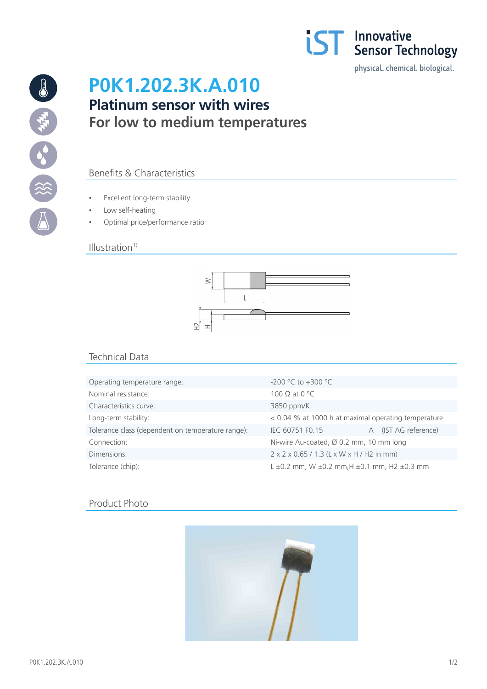

19 海外 3% (※)

# **P0K1.202.3K.A.010 Platinum sensor with wires For low to medium temperatures**

## Benefits & Characteristics

- Excellent long-term stability
- Low self-heating
- Optimal price/performance ratio

#### $Illustration<sup>1</sup>$



# Technical Data

| Operating temperature range:                      | $-200$ °C to $+300$ °C                                          |  |
|---------------------------------------------------|-----------------------------------------------------------------|--|
| Nominal resistance:                               | 100 $\Omega$ at 0 °C                                            |  |
| Characteristics curve:                            | 3850 ppm/K                                                      |  |
| Long-term stability:                              | < 0.04 % at 1000 h at maximal operating temperature             |  |
| Tolerance class (dependent on temperature range): | A (IST AG reference)<br>IEC 60751 F0.15                         |  |
| Connection:                                       | Ni-wire Au-coated, Ø 0.2 mm, 10 mm long                         |  |
| Dimensions:                                       | 2 x 2 x 0.65 / 1.3 (L x W x H / H2 in mm)                       |  |
| Tolerance (chip):                                 | $L \pm 0.2$ mm, W $\pm 0.2$ mm, H $\pm 0.1$ mm, H2 $\pm 0.3$ mm |  |

### Product Photo